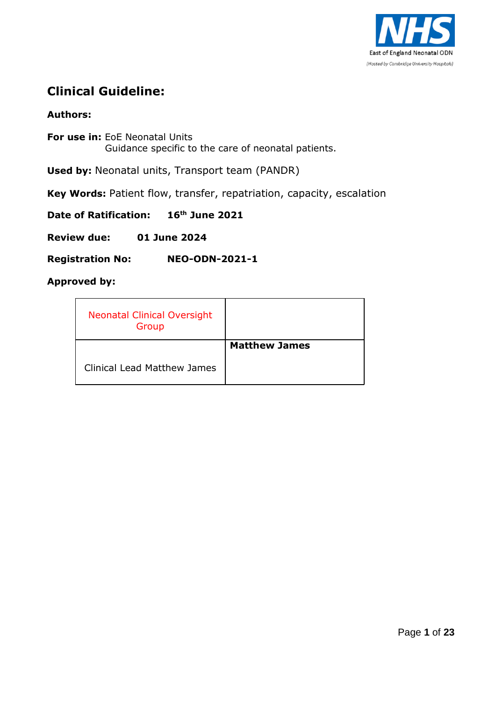

## **Clinical Guideline:**

## **Authors:**

**For use in:** EoE Neonatal Units Guidance specific to the care of neonatal patients.

**Used by:** Neonatal units, Transport team (PANDR)

**Key Words:** Patient flow, transfer, repatriation, capacity, escalation

**Date of Ratification: 16th June 2021**

**Review due: 01 June 2024**

**Registration No: NEO-ODN-2021-1**

### **Approved by:**

| <b>Neonatal Clinical Oversight</b><br>Group |                      |
|---------------------------------------------|----------------------|
|                                             | <b>Matthew James</b> |
| <b>Clinical Lead Matthew James</b>          |                      |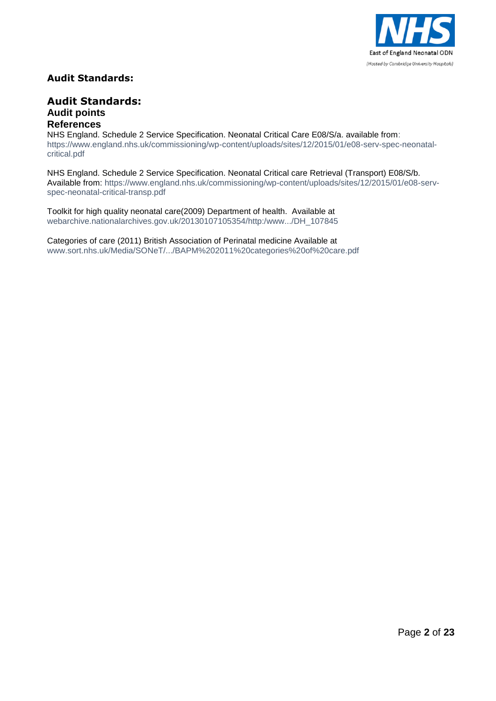

### **Audit Standards:**

#### **Audit Standards: Audit points References**

NHS England. Schedule 2 Service Specification. Neonatal Critical Care E08/S/a. available from: [https://www.england.nhs.uk/commissioning/wp-content/uploads/sites/12/2015/01/e08-serv-spec-neonatal](https://www.england.nhs.uk/commissioning/wp-content/uploads/sites/12/2015/01/e08-serv-spec-neonatal-critical.pdf)[critical.pdf](https://www.england.nhs.uk/commissioning/wp-content/uploads/sites/12/2015/01/e08-serv-spec-neonatal-critical.pdf)

NHS England. Schedule 2 Service Specification. Neonatal Critical care Retrieval (Transport) E08/S/b. Available from: [https://www.england.nhs.uk/commissioning/wp-content/uploads/sites/12/2015/01/e08-serv](https://www.england.nhs.uk/commissioning/wp-content/uploads/sites/12/2015/01/e08-serv-spec-neonatal-critical-transp.pdf)[spec-neonatal-critical-transp.pdf](https://www.england.nhs.uk/commissioning/wp-content/uploads/sites/12/2015/01/e08-serv-spec-neonatal-critical-transp.pdf)

Toolkit for high quality neonatal care(2009) Department of health. Available at webarchive.nationalarchives.gov.uk/20130107105354/http:/www.../DH\_107845

Categories of care (2011) British Association of Perinatal medicine Available at www.sort.nhs.uk/Media/SONeT/.../BAPM%202011%20categories%20of%20care.pdf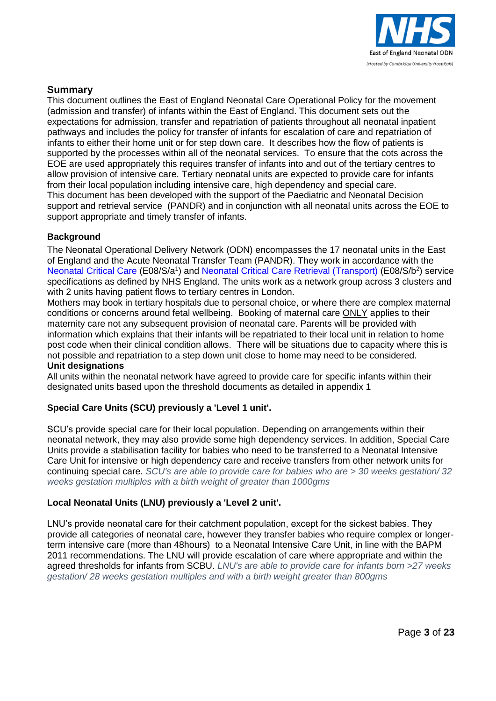

#### **Summary**

This document outlines the East of England Neonatal Care Operational Policy for the movement (admission and transfer) of infants within the East of England. This document sets out the expectations for admission, transfer and repatriation of patients throughout all neonatal inpatient pathways and includes the policy for transfer of infants for escalation of care and repatriation of infants to either their home unit or for step down care. It describes how the flow of patients is supported by the processes within all of the neonatal services. To ensure that the cots across the EOE are used appropriately this requires transfer of infants into and out of the tertiary centres to allow provision of intensive care. Tertiary neonatal units are expected to provide care for infants from their local population including intensive care, high dependency and special care. This document has been developed with the support of the Paediatric and Neonatal Decision support and retrieval service (PANDR) and in conjunction with all neonatal units across the EOE to support appropriate and timely transfer of infants.

#### **Background**

The Neonatal Operational Delivery Network (ODN) encompasses the 17 neonatal units in the East of England and the Acute Neonatal Transfer Team (PANDR). They work in accordance with the [Neonatal Critical Care](https://www.england.nhs.uk/commissioning/wp-content/uploads/sites/12/2015/01/e08-serv-spec-neonatal-critical.pdf) (E08/S/a<sup>1</sup>) and [Neonatal Critical Care Retrieval \(Transport\)](https://www.england.nhs.uk/commissioning/wp-content/uploads/sites/12/2015/01/e08-serv-spec-neonatal-critical-transp.pdf) (E08/S/b<sup>2</sup>) service specifications as defined by NHS England. The units work as a network group across 3 clusters and with 2 units having patient flows to tertiary centres in London.

Mothers may book in tertiary hospitals due to personal choice, or where there are complex maternal conditions or concerns around fetal wellbeing. Booking of maternal care ONLY applies to their maternity care not any subsequent provision of neonatal care. Parents will be provided with information which explains that their infants will be repatriated to their local unit in relation to home post code when their clinical condition allows. There will be situations due to capacity where this is not possible and repatriation to a step down unit close to home may need to be considered. **Unit designations**

#### All units within the neonatal network have agreed to provide care for specific infants within their designated units based upon the threshold documents as detailed in appendix 1

#### **Special Care Units (SCU) previously a 'Level 1 unit'.**

SCU's provide special care for their local population. Depending on arrangements within their neonatal network, they may also provide some high dependency services. In addition, Special Care Units provide a stabilisation facility for babies who need to be transferred to a Neonatal Intensive Care Unit for intensive or high dependency care and receive transfers from other network units for continuing special care. *SCU's are able to provide care for babies who are > 30 weeks gestation/ 32 weeks gestation multiples with a birth weight of greater than 1000gms*

#### **Local Neonatal Units (LNU) previously a 'Level 2 unit'.**

LNU's provide neonatal care for their catchment population, except for the sickest babies. They provide all categories of neonatal care, however they transfer babies who require complex or longerterm intensive care (more than 48hours) to a Neonatal Intensive Care Unit, in line with the BAPM 2011 recommendations. The LNU will provide escalation of care where appropriate and within the agreed thresholds for infants from SCBU. *LNU's are able to provide care for infants born >27 weeks gestation/ 28 weeks gestation multiples and with a birth weight greater than 800gms*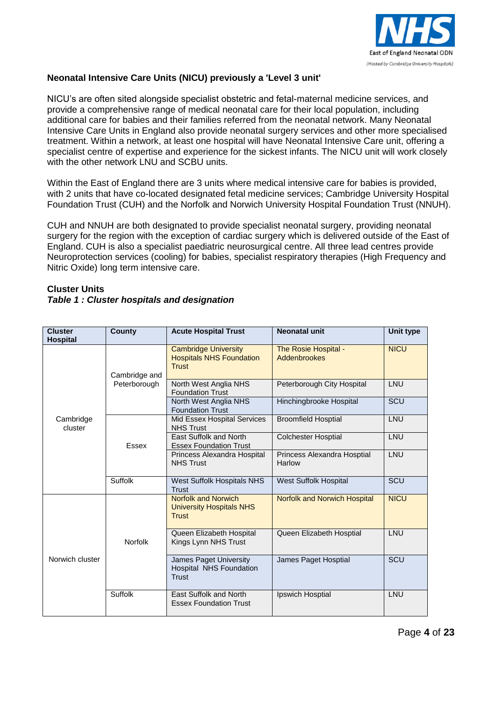

#### **Neonatal Intensive Care Units (NICU) previously a 'Level 3 unit'**

NICU's are often sited alongside specialist obstetric and fetal-maternal medicine services, and provide a comprehensive range of medical neonatal care for their local population, including additional care for babies and their families referred from the neonatal network. Many Neonatal Intensive Care Units in England also provide neonatal surgery services and other more specialised treatment. Within a network, at least one hospital will have Neonatal Intensive Care unit, offering a specialist centre of expertise and experience for the sickest infants. The NICU unit will work closely with the other network LNU and SCBU units.

Within the East of England there are 3 units where medical intensive care for babies is provided, with 2 units that have co-located designated fetal medicine services; Cambridge University Hospital Foundation Trust (CUH) and the Norfolk and Norwich University Hospital Foundation Trust (NNUH).

CUH and NNUH are both designated to provide specialist neonatal surgery, providing neonatal surgery for the region with the exception of cardiac surgery which is delivered outside of the East of England. CUH is also a specialist paediatric neurosurgical centre. All three lead centres provide Neuroprotection services (cooling) for babies, specialist respiratory therapies (High Frequency and Nitric Oxide) long term intensive care.

| <b>Cluster</b><br><b>Hospital</b> | <b>County</b>  | <b>Acute Hospital Trust</b>                                                    | Neonatal unit                         | Unit type   |
|-----------------------------------|----------------|--------------------------------------------------------------------------------|---------------------------------------|-------------|
|                                   | Cambridge and  | <b>Cambridge University</b><br><b>Hospitals NHS Foundation</b><br><b>Trust</b> | The Rosie Hospital -<br>Addenbrookes  | <b>NICU</b> |
| Cambridge<br>cluster              | Peterborough   | North West Anglia NHS<br><b>Foundation Trust</b>                               | Peterborough City Hospital            | LNU         |
|                                   |                | North West Anglia NHS<br><b>Foundation Trust</b>                               | Hinchingbrooke Hospital               | SCU         |
|                                   |                | <b>Mid Essex Hospital Services</b><br><b>NHS Trust</b>                         | <b>Broomfield Hosptial</b>            | LNU         |
|                                   | Essex          | <b>East Suffolk and North</b><br><b>Essex Foundation Trust</b>                 | <b>Colchester Hosptial</b>            | LNU         |
|                                   |                | Princess Alexandra Hospital<br><b>NHS Trust</b>                                | Princess Alexandra Hosptial<br>Harlow | LNU         |
|                                   | Suffolk        | West Suffolk Hospitals NHS<br><b>Trust</b>                                     | <b>West Suffolk Hospital</b>          | SCU         |
|                                   |                | <b>Norfolk and Norwich</b><br><b>University Hospitals NHS</b><br><b>Trust</b>  | <b>Norfolk and Norwich Hospital</b>   | <b>NICU</b> |
|                                   | <b>Norfolk</b> | Queen Elizabeth Hospital<br>Kings Lynn NHS Trust                               | Queen Elizabeth Hosptial              | LNU         |
| Norwich cluster                   |                | James Paget University<br><b>Hospital NHS Foundation</b><br><b>Trust</b>       | James Paget Hosptial                  | SCU         |
|                                   | Suffolk        | East Suffolk and North<br><b>Essex Foundation Trust</b>                        | Ipswich Hosptial                      | LNU         |

#### **Cluster Units**  *Table 1 : Cluster hospitals and designation*

Page **4** of **23**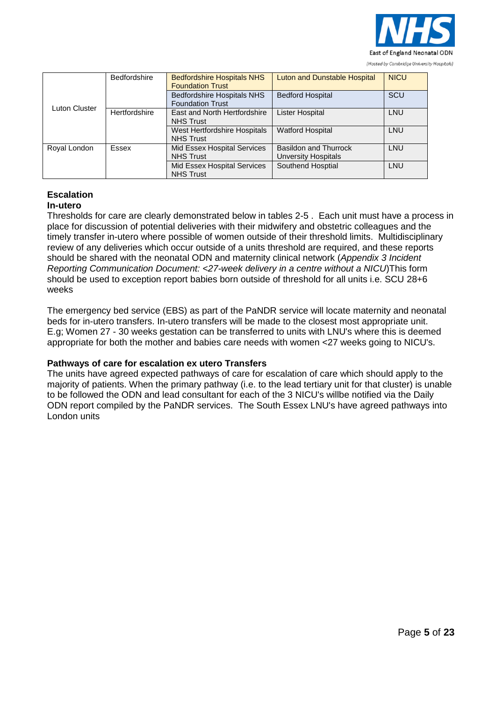

|               | <b>Bedfordshire</b> | <b>Bedfordshire Hospitals NHS</b><br><b>Foundation Trust</b> | <b>Luton and Dunstable Hospital</b>          | <b>NICU</b> |
|---------------|---------------------|--------------------------------------------------------------|----------------------------------------------|-------------|
| Luton Cluster |                     | <b>Bedfordshire Hospitals NHS</b><br><b>Foundation Trust</b> | <b>Bedford Hospital</b>                      | SCU         |
|               | Hertfordshire       | East and North Hertfordshire<br><b>NHS Trust</b>             | <b>Lister Hospital</b>                       | LNU         |
|               |                     | West Hertfordshire Hospitals<br><b>NHS Trust</b>             | <b>Watford Hospital</b>                      | LNU         |
| Royal London  | Essex               | Mid Essex Hospital Services<br><b>NHS Trust</b>              | Basildon and Thurrock<br>Unversity Hospitals | LNU         |
|               |                     | Mid Essex Hospital Services<br><b>NHS Trust</b>              | Southend Hosptial                            | LNU         |

#### **Escalation In-utero**

Thresholds for care are clearly demonstrated below in tables 2-5 . Each unit must have a process in place for discussion of potential deliveries with their midwifery and obstetric colleagues and the timely transfer in-utero where possible of women outside of their threshold limits. Multidisciplinary review of any deliveries which occur outside of a units threshold are required, and these reports should be shared with the neonatal ODN and maternity clinical network (*Appendix 3 Incident Reporting Communication Document: <27-week delivery in a centre without a NICU*)This form should be used to exception report babies born outside of threshold for all units i.e. SCU 28+6 weeks

The emergency bed service (EBS) as part of the PaNDR service will locate maternity and neonatal beds for in-utero transfers. In-utero transfers will be made to the closest most appropriate unit. E.g; Women 27 - 30 weeks gestation can be transferred to units with LNU's where this is deemed appropriate for both the mother and babies care needs with women <27 weeks going to NICU's.

#### **Pathways of care for escalation ex utero Transfers**

The units have agreed expected pathways of care for escalation of care which should apply to the majority of patients. When the primary pathway (i.e. to the lead tertiary unit for that cluster) is unable to be followed the ODN and lead consultant for each of the 3 NICU's willbe notified via the Daily ODN report compiled by the PaNDR services. The South Essex LNU's have agreed pathways into London units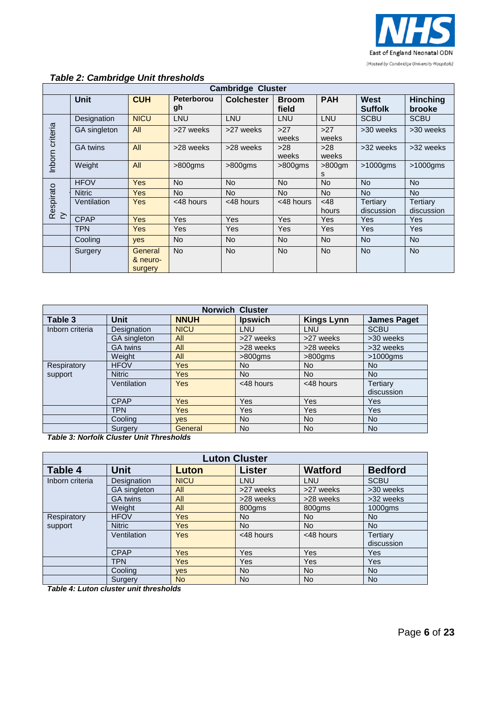

|                 |                 |                                |                  | <b>Cambridge Cluster</b> |                       |                |                        |                           |
|-----------------|-----------------|--------------------------------|------------------|--------------------------|-----------------------|----------------|------------------------|---------------------------|
|                 | <b>Unit</b>     | <b>CUH</b>                     | Peterborou<br>gh | <b>Colchester</b>        | <b>Broom</b><br>field | <b>PAH</b>     | West<br><b>Suffolk</b> | <b>Hinching</b><br>brooke |
|                 | Designation     | <b>NICU</b>                    | LNU              | LNU                      | LNU                   | LNU            | <b>SCBU</b>            | <b>SCBU</b>               |
|                 | GA singleton    | All                            | >27 weeks        | >27 weeks                | $>27$<br>weeks        | $>27$<br>weeks | >30 weeks              | >30 weeks                 |
| Inborn criteria | <b>GA</b> twins | All                            | >28 weeks        | >28 weeks                | >28<br>weeks          | >28<br>weeks   | >32 weeks              | >32 weeks                 |
|                 | Weight          | All                            | $>800$ gms       | $>800$ gms               | $>800$ gms            | $>800$ gm<br>s | $>1000$ gms            | $>1000$ gms               |
|                 | <b>HFOV</b>     | <b>Yes</b>                     | <b>No</b>        | <b>No</b>                | <b>No</b>             | <b>No</b>      | <b>No</b>              | <b>No</b>                 |
|                 | <b>Nitric</b>   | <b>Yes</b>                     | <b>No</b>        | <b>No</b>                | <b>No</b>             | <b>No</b>      | <b>No</b>              | <b>No</b>                 |
| Respirato<br>ry | Ventilation     | Yes                            | <48 hours        | <48 hours                | <48 hours             | < 48<br>hours  | Tertiary<br>discussion | Tertiary<br>discussion    |
|                 | <b>CPAP</b>     | <b>Yes</b>                     | <b>Yes</b>       | <b>Yes</b>               | Yes                   | Yes            | Yes                    | <b>Yes</b>                |
|                 | TPN             | <b>Yes</b>                     | Yes              | Yes                      | Yes                   | Yes            | Yes                    | Yes                       |
|                 | Cooling         | yes                            | <b>No</b>        | <b>No</b>                | <b>No</b>             | <b>No</b>      | <b>No</b>              | <b>No</b>                 |
|                 | Surgery         | General<br>& neuro-<br>surgery | <b>No</b>        | <b>No</b>                | <b>No</b>             | <b>No</b>      | <b>No</b>              | <b>No</b>                 |

### *Table 2: Cambridge Unit thresholds*

|                 | <b>Norwich Cluster</b> |             |                |                   |                    |  |  |  |  |  |
|-----------------|------------------------|-------------|----------------|-------------------|--------------------|--|--|--|--|--|
| Table 3         | <b>Unit</b>            | <b>NNUH</b> | <b>Ipswich</b> | <b>Kings Lynn</b> | <b>James Paget</b> |  |  |  |  |  |
| Inborn criteria | Designation            | <b>NICU</b> | LNU            | LNU               | <b>SCBU</b>        |  |  |  |  |  |
|                 | <b>GA</b> singleton    | All         | >27 weeks      | >27 weeks         | >30 weeks          |  |  |  |  |  |
|                 | <b>GA</b> twins        | All         | >28 weeks      | >28 weeks         | >32 weeks          |  |  |  |  |  |
|                 | Weight                 | All         | $>800$ gms     | $>800$ gms        | $>1000$ gms        |  |  |  |  |  |
| Respiratory     | <b>HFOV</b>            | Yes         | No.            | <b>No</b>         | No.                |  |  |  |  |  |
| support         | <b>Nitric</b>          | Yes         | No.            | <b>No</b>         | <b>No</b>          |  |  |  |  |  |
|                 | Ventilation            | Yes         | <48 hours      | <48 hours         | Tertiary           |  |  |  |  |  |
|                 |                        |             |                |                   | discussion         |  |  |  |  |  |
|                 | <b>CPAP</b>            | <b>Yes</b>  | Yes            | Yes               | Yes                |  |  |  |  |  |
|                 | <b>TPN</b>             | <b>Yes</b>  | Yes            | Yes               | Yes                |  |  |  |  |  |
|                 | Cooling                | <b>ves</b>  | <b>No</b>      | <b>No</b>         | No.                |  |  |  |  |  |
|                 | Surgery                | General     | <b>No</b>      | <b>No</b>         | <b>No</b>          |  |  |  |  |  |

*Table 3: Norfolk Cluster Unit Thresholds*

|                 | <b>Luton Cluster</b> |                |                |                |                 |  |  |  |  |  |
|-----------------|----------------------|----------------|----------------|----------------|-----------------|--|--|--|--|--|
| Table 4         | <b>Unit</b>          | Luton          | <b>Lister</b>  | <b>Watford</b> | <b>Bedford</b>  |  |  |  |  |  |
| Inborn criteria | Designation          | <b>NICU</b>    | LNU            | LNU            | <b>SCBU</b>     |  |  |  |  |  |
|                 | <b>GA</b> singleton  | All            | >27 weeks      | >27 weeks      | >30 weeks       |  |  |  |  |  |
|                 | <b>GA twins</b>      | All            | >28 weeks      | >28 weeks      | >32 weeks       |  |  |  |  |  |
|                 | Weight               | All            | 800gms         | 800gms         | 1000gms         |  |  |  |  |  |
| Respiratory     | <b>HFOV</b>          | Yes            | N <sub>o</sub> | No.            | N <sub>o</sub>  |  |  |  |  |  |
| support         | <b>Nitric</b>        | Yes            | <b>No</b>      | <b>No</b>      | N <sub>o</sub>  |  |  |  |  |  |
|                 | Ventilation          | Yes            | <48 hours      | <48 hours      | <b>Tertiary</b> |  |  |  |  |  |
|                 |                      |                |                |                | discussion      |  |  |  |  |  |
|                 | <b>CPAP</b>          | Yes            | Yes            | Yes            | <b>Yes</b>      |  |  |  |  |  |
|                 | <b>TPN</b>           | Yes            | Yes            | Yes            | <b>Yes</b>      |  |  |  |  |  |
|                 | Cooling              | <b>ves</b>     | <b>No</b>      | <b>No</b>      | <b>No</b>       |  |  |  |  |  |
|                 | Surgery              | N <sub>o</sub> | <b>No</b>      | <b>No</b>      | <b>No</b>       |  |  |  |  |  |

*Table 4: Luton cluster unit thresholds*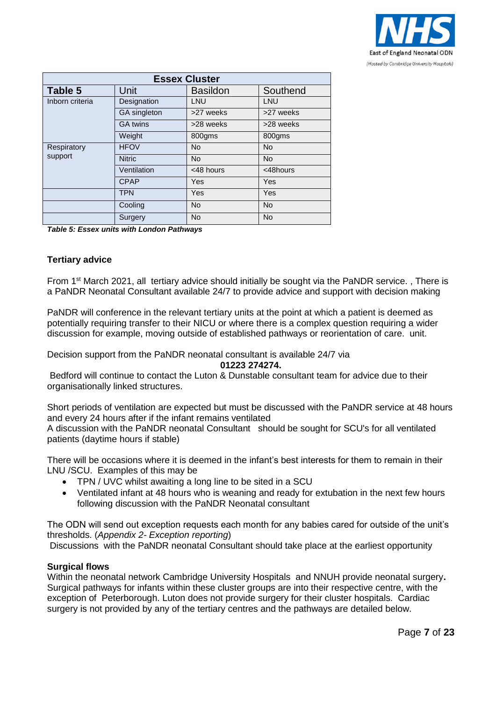

|                 | <b>Essex Cluster</b> |                 |           |  |  |  |  |  |  |  |
|-----------------|----------------------|-----------------|-----------|--|--|--|--|--|--|--|
| Table 5         | Unit                 | <b>Basildon</b> | Southend  |  |  |  |  |  |  |  |
| Inborn criteria | Designation          | LNU             | LNU       |  |  |  |  |  |  |  |
|                 | GA singleton         | >27 weeks       | >27 weeks |  |  |  |  |  |  |  |
|                 | <b>GA twins</b>      | >28 weeks       | >28 weeks |  |  |  |  |  |  |  |
|                 | Weight               | 800gms          | 800gms    |  |  |  |  |  |  |  |
| Respiratory     | <b>HFOV</b>          | <b>No</b>       | <b>No</b> |  |  |  |  |  |  |  |
| support         | <b>Nitric</b>        | <b>No</b>       | <b>No</b> |  |  |  |  |  |  |  |
|                 | Ventilation          | <48 hours       | <48hours  |  |  |  |  |  |  |  |
|                 | <b>CPAP</b>          | Yes             | Yes       |  |  |  |  |  |  |  |
|                 | <b>TPN</b>           | Yes             | Yes       |  |  |  |  |  |  |  |
|                 | Cooling              | <b>No</b>       | <b>No</b> |  |  |  |  |  |  |  |
|                 | Surgery              | <b>No</b>       | <b>No</b> |  |  |  |  |  |  |  |

*Table 5: Essex units with London Pathways*

#### **Tertiary advice**

From 1st March 2021, all tertiary advice should initially be sought via the PaNDR service. , There is a PaNDR Neonatal Consultant available 24/7 to provide advice and support with decision making

PaNDR will conference in the relevant tertiary units at the point at which a patient is deemed as potentially requiring transfer to their NICU or where there is a complex question requiring a wider discussion for example, moving outside of established pathways or reorientation of care. unit.

Decision support from the PaNDR neonatal consultant is available 24/7 via

**01223 274274.**

Bedford will continue to contact the Luton & Dunstable consultant team for advice due to their organisationally linked structures.

Short periods of ventilation are expected but must be discussed with the PaNDR service at 48 hours and every 24 hours after if the infant remains ventilated

A discussion with the PaNDR neonatal Consultant should be sought for SCU's for all ventilated patients (daytime hours if stable)

There will be occasions where it is deemed in the infant's best interests for them to remain in their LNU /SCU. Examples of this may be

- TPN / UVC whilst awaiting a long line to be sited in a SCU
- Ventilated infant at 48 hours who is weaning and ready for extubation in the next few hours following discussion with the PaNDR Neonatal consultant

The ODN will send out exception requests each month for any babies cared for outside of the unit's thresholds. (*Appendix 2- Exception reporting*)

Discussions with the PaNDR neonatal Consultant should take place at the earliest opportunity

#### **Surgical flows**

Within the neonatal network Cambridge University Hospitals and NNUH provide neonatal surgery**.**  Surgical pathways for infants within these cluster groups are into their respective centre, with the exception of Peterborough. Luton does not provide surgery for their cluster hospitals. Cardiac surgery is not provided by any of the tertiary centres and the pathways are detailed below.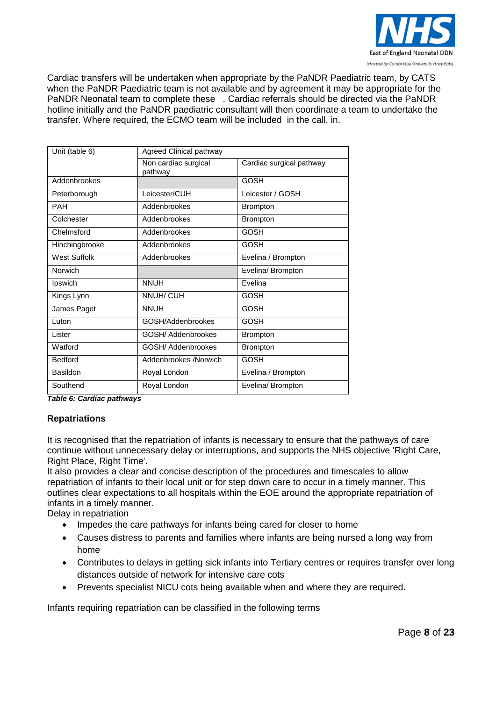

Cardiac transfers will be undertaken when appropriate by the PaNDR Paediatric team, by CATS when the PaNDR Paediatric team is not available and by agreement it may be appropriate for the PaNDR Neonatal team to complete these . Cardiac referrals should be directed via the PaNDR hotline initially and the PaNDR paediatric consultant will then coordinate a team to undertake the transfer. Where required, the ECMO team will be included in the call. in.

| Unit (table 6)      | Agreed Clinical pathway         |                          |
|---------------------|---------------------------------|--------------------------|
|                     | Non cardiac surgical<br>pathway | Cardiac surgical pathway |
| Addenbrookes        |                                 | <b>GOSH</b>              |
| Peterborough        | Leicester/CUH                   | Leicester / GOSH         |
| <b>PAH</b>          | Addenbrookes                    | <b>Brompton</b>          |
| Colchester          | Addenbrookes                    | <b>Brompton</b>          |
| Chelmsford          | Addenbrookes                    | <b>GOSH</b>              |
| Hinchingbrooke      | Addenbrookes                    | <b>GOSH</b>              |
| <b>West Suffolk</b> | Addenbrookes                    | Evelina / Brompton       |
| Norwich             |                                 | Evelina/ Brompton        |
| Ipswich             | <b>NNUH</b>                     | Evelina                  |
| Kings Lynn          | NNUH/ CUH                       | <b>GOSH</b>              |
| James Paget         | <b>NNUH</b>                     | <b>GOSH</b>              |
| Luton               | GOSH/Addenbrookes               | GOSH                     |
| Lister              | GOSH/ Addenbrookes              | <b>Brompton</b>          |
| Watford             | GOSH/ Addenbrookes              | <b>Brompton</b>          |
| <b>Bedford</b>      | Addenbrookes /Norwich           | <b>GOSH</b>              |
| Basildon            | Royal London                    | Evelina / Brompton       |
| Southend            | Royal London                    | Evelina/ Brompton        |

*Table 6: Cardiac pathways* 

#### **Repatriations**

It is recognised that the repatriation of infants is necessary to ensure that the pathways of care continue without unnecessary delay or interruptions, and supports the NHS objective 'Right Care, Right Place, Right Time'.

It also provides a clear and concise description of the procedures and timescales to allow repatriation of infants to their local unit or for step down care to occur in a timely manner. This outlines clear expectations to all hospitals within the EOE around the appropriate repatriation of infants in a timely manner.

Delay in repatriation

- Impedes the care pathways for infants being cared for closer to home
- Causes distress to parents and families where infants are being nursed a long way from home
- Contributes to delays in getting sick infants into Tertiary centres or requires transfer over long distances outside of network for intensive care cots
- Prevents specialist NICU cots being available when and where they are required.

Infants requiring repatriation can be classified in the following terms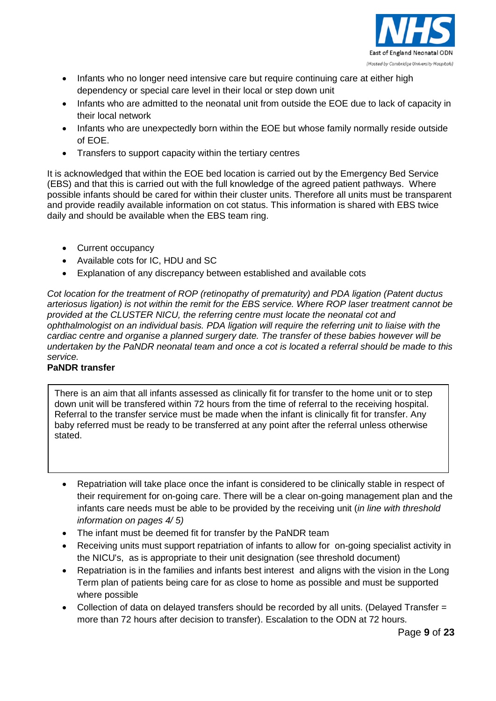

- Infants who no longer need intensive care but require continuing care at either high dependency or special care level in their local or step down unit
- Infants who are admitted to the neonatal unit from outside the EOE due to lack of capacity in their local network
- Infants who are unexpectedly born within the EOE but whose family normally reside outside of EOE.
- Transfers to support capacity within the tertiary centres

It is acknowledged that within the EOE bed location is carried out by the Emergency Bed Service (EBS) and that this is carried out with the full knowledge of the agreed patient pathways. Where possible infants should be cared for within their cluster units. Therefore all units must be transparent and provide readily available information on cot status. This information is shared with EBS twice daily and should be available when the EBS team ring.

- Current occupancy
- Available cots for IC, HDU and SC
- Explanation of any discrepancy between established and available cots

*Cot location for the treatment of ROP (retinopathy of prematurity) and PDA ligation (Patent ductus arteriosus ligation) is not within the remit for the EBS service. Where ROP laser treatment cannot be provided at the CLUSTER NICU, the referring centre must locate the neonatal cot and ophthalmologist on an individual basis. PDA ligation will require the referring unit to liaise with the cardiac centre and organise a planned surgery date. The transfer of these babies however will be undertaken by the PaNDR neonatal team and once a cot is located a referral should be made to this service.*

### **PaNDR transfer**

There is an aim that all infants assessed as clinically fit for transfer to the home unit or to step down unit will be transfered within 72 hours from the time of referral to the receiving hospital. Referral to the transfer service must be made when the infant is clinically fit for transfer. Any baby referred must be ready to be transferred at any point after the referral unless otherwise stated.

- Repatriation will take place once the infant is considered to be clinically stable in respect of their requirement for on-going care. There will be a clear on-going management plan and the infants care needs must be able to be provided by the receiving unit (*in line with threshold information on pages 4/ 5)*
- The infant must be deemed fit for transfer by the PaNDR team
- Receiving units must support repatriation of infants to allow for on-going specialist activity in the NICU's, as is appropriate to their unit designation (see threshold document)
- Repatriation is in the families and infants best interest and aligns with the vision in the Long Term plan of patients being care for as close to home as possible and must be supported where possible
- Collection of data on delayed transfers should be recorded by all units. (Delayed Transfer = more than 72 hours after decision to transfer). Escalation to the ODN at 72 hours.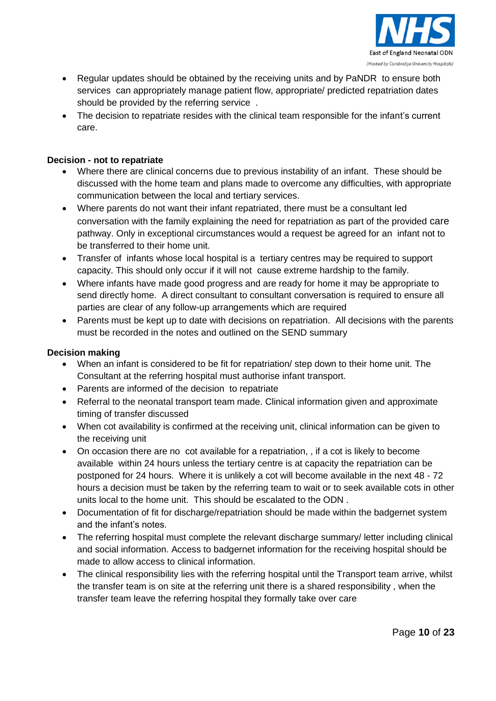

- Regular updates should be obtained by the receiving units and by PaNDR to ensure both services can appropriately manage patient flow, appropriate/ predicted repatriation dates should be provided by the referring service .
- The decision to repatriate resides with the clinical team responsible for the infant's current care.

#### **Decision - not to repatriate**

- Where there are clinical concerns due to previous instability of an infant. These should be discussed with the home team and plans made to overcome any difficulties, with appropriate communication between the local and tertiary services.
- Where parents do not want their infant repatriated, there must be a consultant led conversation with the family explaining the need for repatriation as part of the provided care pathway. Only in exceptional circumstances would a request be agreed for an infant not to be transferred to their home unit.
- Transfer of infants whose local hospital is a tertiary centres may be required to support capacity. This should only occur if it will not cause extreme hardship to the family.
- Where infants have made good progress and are ready for home it may be appropriate to send directly home. A direct consultant to consultant conversation is required to ensure all parties are clear of any follow-up arrangements which are required
- Parents must be kept up to date with decisions on repatriation. All decisions with the parents must be recorded in the notes and outlined on the SEND summary

#### **Decision making**

- When an infant is considered to be fit for repatriation/ step down to their home unit. The Consultant at the referring hospital must authorise infant transport.
- Parents are informed of the decision to repatriate
- Referral to the neonatal transport team made. Clinical information given and approximate timing of transfer discussed
- When cot availability is confirmed at the receiving unit, clinical information can be given to the receiving unit
- On occasion there are no cot available for a repatriation, , if a cot is likely to become available within 24 hours unless the tertiary centre is at capacity the repatriation can be postponed for 24 hours. Where it is unlikely a cot will become available in the next 48 - 72 hours a decision must be taken by the referring team to wait or to seek available cots in other units local to the home unit. This should be escalated to the ODN .
- Documentation of fit for discharge/repatriation should be made within the badgernet system and the infant's notes.
- The referring hospital must complete the relevant discharge summary/ letter including clinical and social information. Access to badgernet information for the receiving hospital should be made to allow access to clinical information.
- The clinical responsibility lies with the referring hospital until the Transport team arrive, whilst the transfer team is on site at the referring unit there is a shared responsibility , when the transfer team leave the referring hospital they formally take over care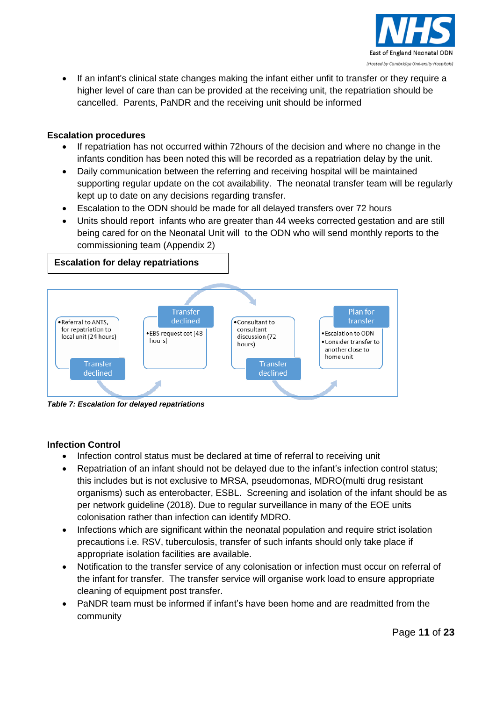

 If an infant's clinical state changes making the infant either unfit to transfer or they require a higher level of care than can be provided at the receiving unit, the repatriation should be cancelled. Parents, PaNDR and the receiving unit should be informed

#### **Escalation procedures**

- If repatriation has not occurred within 72hours of the decision and where no change in the infants condition has been noted this will be recorded as a repatriation delay by the unit.
- Daily communication between the referring and receiving hospital will be maintained supporting regular update on the cot availability. The neonatal transfer team will be regularly kept up to date on any decisions regarding transfer.
- Escalation to the ODN should be made for all delayed transfers over 72 hours
- Units should report infants who are greater than 44 weeks corrected gestation and are still being cared for on the Neonatal Unit will to the ODN who will send monthly reports to the commissioning team (Appendix 2)

#### **Escalation for delay repatriations**



*Table 7: Escalation for delayed repatriations* 

#### **Infection Control**

- Infection control status must be declared at time of referral to receiving unit
- Repatriation of an infant should not be delayed due to the infant's infection control status; this includes but is not exclusive to MRSA, pseudomonas, MDRO(multi drug resistant organisms) such as enterobacter, ESBL. Screening and isolation of the infant should be as per network guideline (2018). Due to regular surveillance in many of the EOE units colonisation rather than infection can identify MDRO.
- Infections which are significant within the neonatal population and require strict isolation precautions i.e. RSV, tuberculosis, transfer of such infants should only take place if appropriate isolation facilities are available.
- Notification to the transfer service of any colonisation or infection must occur on referral of the infant for transfer. The transfer service will organise work load to ensure appropriate cleaning of equipment post transfer.
- PaNDR team must be informed if infant's have been home and are readmitted from the community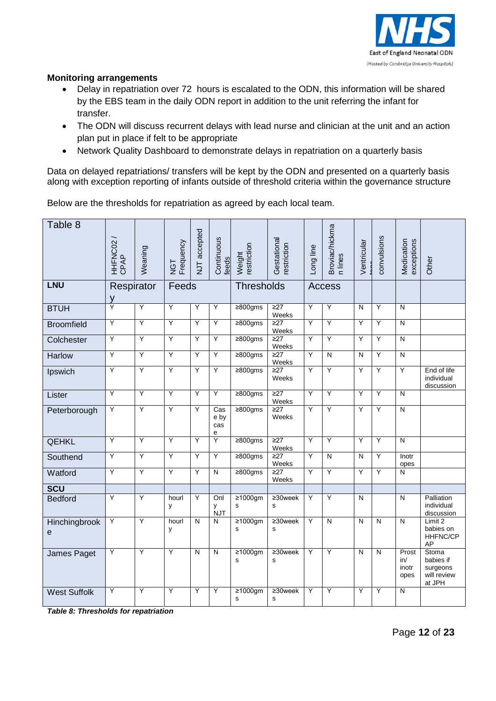

#### **Monitoring arrangements**

- Delay in repatriation over 72 hours is escalated to the ODN, this information will be shared by the EBS team in the daily ODN report in addition to the unit referring the infant for transfer.
- The ODN will discuss recurrent delays with lead nurse and clinician at the unit and an action plan put in place if felt to be appropriate
- Network Quality Dashboard to demonstrate delays in repatriation on a quarterly basis

Data on delayed repatriations/ transfers will be kept by the ODN and presented on a quarterly basis along with exception reporting of infants outside of threshold criteria within the governance structure

Below are the thresholds for repatriation as agreed by each local team.

| Table 8             | HHFNC02/<br>CPAP       | Weaning        | NGT<br>Frequency | NJT accepted            | Continuous<br>feeds     | restriction<br>Weight          | Gestational<br>restriction    | Long line      | Broviac/hickma<br>n lines | Ventricular             | convulsions             | Medication<br>exceptions      | Other                                                          |
|---------------------|------------------------|----------------|------------------|-------------------------|-------------------------|--------------------------------|-------------------------------|----------------|---------------------------|-------------------------|-------------------------|-------------------------------|----------------------------------------------------------------|
| <b>LNU</b>          | Respirator<br><u>y</u> |                | Feeds            |                         |                         | Thresholds                     |                               |                | <b>Access</b>             |                         |                         |                               |                                                                |
| <b>BTUH</b>         | Ÿ                      | Ÿ              | Ÿ                | Υ                       | $\overline{Y}$          | $\geq 800$ gms                 | $\overline{\geq}$<br>Weeks    | Y              | $\overline{Y}$            | N                       | Y                       | N                             |                                                                |
| <b>Broomfield</b>   | Y                      | Y              | Y                | Υ                       | Y                       | $\geq 800$ gms                 | $\geq$ 27<br>Weeks            | Ÿ              | Y                         | Y                       | Y                       | $\overline{N}$                |                                                                |
| Colchester          | Y                      | Ÿ              | Y                | Υ                       | Y                       | $\geq 800$ gms                 | $\overline{\geq}27$<br>Weeks  | Ÿ              | Y                         | Y                       | Y                       | $\overline{N}$                |                                                                |
| Harlow              | Ÿ                      | Ÿ              | Y                | Ÿ                       | Y                       | $\geq 800$ gms                 | $\overline{227}$<br>Weeks     | Ÿ              | N                         | N                       | Y                       | $\overline{\mathsf{N}}$       |                                                                |
| Ipswich             | Y                      | Y              | Y                | Υ                       | Y                       | $\geq 800$ gms                 | $\overline{227}$<br>Weeks     | Ÿ              | Y                         | Ÿ                       | Y                       | Y                             | End of life<br>individual<br>discussion                        |
| Lister              | Υ                      | Ÿ              | Y                | Y                       | Y                       | $\geq 800$ gms                 | $\geq$ 27<br>Weeks            | Y              | Ÿ                         | Y                       | Y                       | N                             |                                                                |
| Peterborough        | Υ                      | Y              | Ÿ                | Y                       | Cas<br>e by<br>cas<br>e | $\geq 800$ gms                 | $\geq$ 27<br>Weeks            | Y              | Ÿ                         | Y                       | Ÿ                       | $\overline{N}$                |                                                                |
| <b>QEHKL</b>        | Ÿ                      | Ÿ              | Y                | Y                       | Y                       | $\geq 800$ gms                 | $\geq$ 27<br>Weeks            | Ÿ              | Ÿ                         | Ÿ                       | Y                       | N                             |                                                                |
| Southend            | Y                      | $\overline{Y}$ | Ÿ                | Ÿ                       | Ÿ                       | $\geq 800$ gms                 | $\overline{\geq}$ 27<br>Weeks | $\overline{Y}$ | $\overline{N}$            | N                       | Ÿ                       | Inotr<br>opes                 |                                                                |
| Watford             | Y                      | Y              | $\overline{Y}$   | Y                       | $\overline{\mathsf{N}}$ | $\geq 800$ gms                 | $\geq$ 27<br>Weeks            | Y              | Ÿ                         | Ÿ                       | Y                       | N                             |                                                                |
| <b>SCU</b>          |                        |                |                  |                         |                         |                                |                               |                |                           |                         |                         |                               |                                                                |
| <b>Bedford</b>      | Ÿ                      | Ÿ              | hourl<br>y       | Y                       | Onl<br>y<br><b>NJT</b>  | $\geq 1000$ gm<br>s            | $\geq$ 30week<br>s            | Ÿ              | Y                         | N                       |                         | N                             | Palliation<br>individual<br>discussion                         |
| Hinchingbrook<br>e  | Υ                      | Y              | hourl<br>у       | $\overline{\mathsf{N}}$ | N                       | $\geq 1000$ gm<br>s            | $\geq$ 30week<br>s            | Y              | $\overline{\mathsf{N}}$   | $\overline{\mathsf{N}}$ | $\overline{\mathsf{N}}$ | $\overline{\mathsf{N}}$       | Limit 2<br>babies on<br><b>HHFNC/CP</b><br>AP                  |
| James Paget         | Y                      | Y              | Y                | N                       | $\overline{\mathsf{N}}$ | $\geq 1000$ gm<br>s            | $\geq$ 30week<br>s            | Y              | Y                         | $\overline{N}$          | $\mathsf{N}$            | Prost<br>in/<br>inotr<br>opes | <b>Stoma</b><br>babies if<br>surgeons<br>will review<br>at JPH |
| <b>West Suffolk</b> | Ÿ                      | Y              | Y                | Ÿ                       | Ÿ                       | $\geq 1000$ gm<br>$\mathsf{s}$ | $\geq$ 30week<br>s            | Ÿ              | Ÿ                         | Ÿ                       | Ÿ                       | $\overline{\mathsf{N}}$       |                                                                |

*Table 8: Thresholds for repatriation*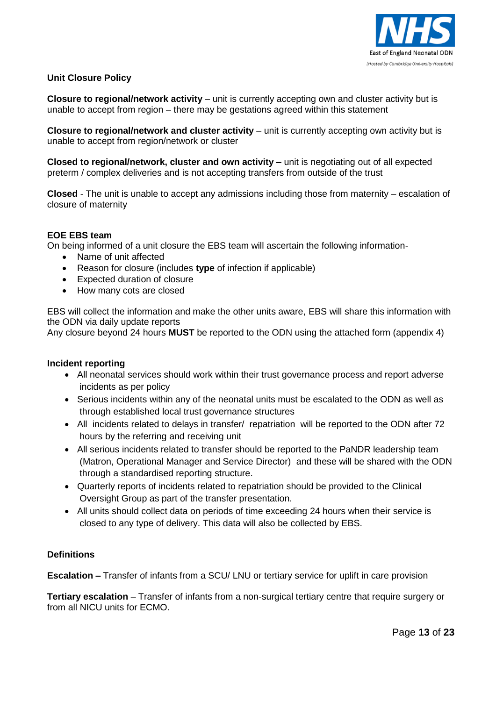

#### **Unit Closure Policy**

**Closure to regional/network activity** – unit is currently accepting own and cluster activity but is unable to accept from region – there may be gestations agreed within this statement

**Closure to regional/network and cluster activity – unit is currently accepting own activity but is** unable to accept from region/network or cluster

**Closed to regional/network, cluster and own activity –** unit is negotiating out of all expected preterm / complex deliveries and is not accepting transfers from outside of the trust

**Closed** - The unit is unable to accept any admissions including those from maternity – escalation of closure of maternity

#### **EOE EBS team**

On being informed of a unit closure the EBS team will ascertain the following information-

- Name of unit affected
- Reason for closure (includes **type** of infection if applicable)
- Expected duration of closure
- How many cots are closed

EBS will collect the information and make the other units aware, EBS will share this information with the ODN via daily update reports

Any closure beyond 24 hours **MUST** be reported to the ODN using the attached form (appendix 4)

#### **Incident reporting**

- All neonatal services should work within their trust governance process and report adverse incidents as per policy
- Serious incidents within any of the neonatal units must be escalated to the ODN as well as through established local trust governance structures
- All incidents related to delays in transfer/ repatriation will be reported to the ODN after 72 hours by the referring and receiving unit
- All serious incidents related to transfer should be reported to the PaNDR leadership team (Matron, Operational Manager and Service Director) and these will be shared with the ODN through a standardised reporting structure.
- Quarterly reports of incidents related to repatriation should be provided to the Clinical Oversight Group as part of the transfer presentation.
- All units should collect data on periods of time exceeding 24 hours when their service is closed to any type of delivery. This data will also be collected by EBS.

#### **Definitions**

**Escalation –** Transfer of infants from a SCU/ LNU or tertiary service for uplift in care provision

**Tertiary escalation** – Transfer of infants from a non-surgical tertiary centre that require surgery or from all NICU units for ECMO.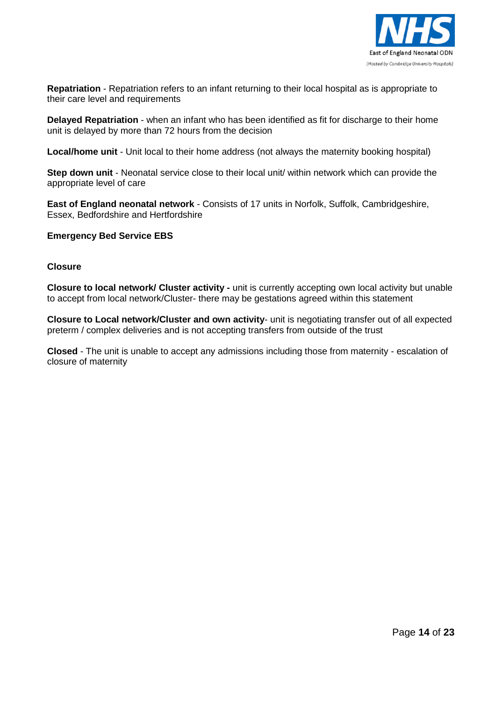

**Repatriation** - Repatriation refers to an infant returning to their local hospital as is appropriate to their care level and requirements

**Delayed Repatriation** - when an infant who has been identified as fit for discharge to their home unit is delayed by more than 72 hours from the decision

**Local/home unit** - Unit local to their home address (not always the maternity booking hospital)

**Step down unit** - Neonatal service close to their local unit/ within network which can provide the appropriate level of care

**East of England neonatal network** - Consists of 17 units in Norfolk, Suffolk, Cambridgeshire, Essex, Bedfordshire and Hertfordshire

#### **Emergency Bed Service EBS**

#### **Closure**

**Closure to local network/ Cluster activity -** unit is currently accepting own local activity but unable to accept from local network/Cluster- there may be gestations agreed within this statement

**Closure to Local network/Cluster and own activity**- unit is negotiating transfer out of all expected preterm / complex deliveries and is not accepting transfers from outside of the trust

**Closed** - The unit is unable to accept any admissions including those from maternity - escalation of closure of maternity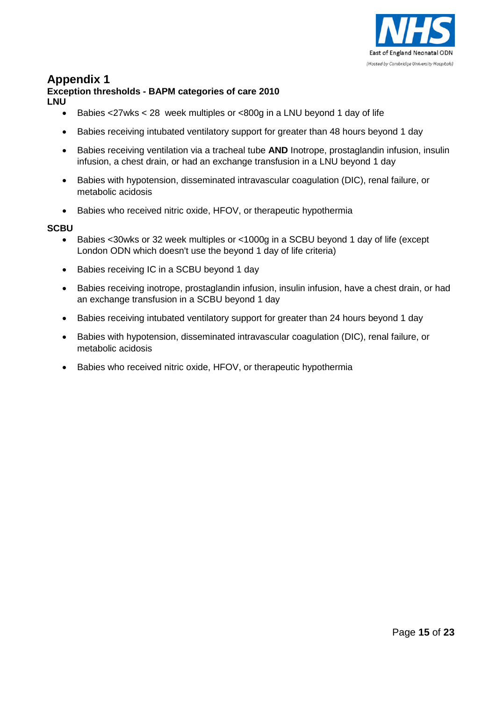

## **Exception thresholds - BAPM categories of care 2010**

**LNU**

- Babies <27wks < 28 week multiples or <800g in a LNU beyond 1 day of life
- Babies receiving intubated ventilatory support for greater than 48 hours beyond 1 day
- Babies receiving ventilation via a tracheal tube **AND** Inotrope, prostaglandin infusion, insulin infusion, a chest drain, or had an exchange transfusion in a LNU beyond 1 day
- Babies with hypotension, disseminated intravascular coagulation (DIC), renal failure, or metabolic acidosis
- Babies who received nitric oxide, HFOV, or therapeutic hypothermia

#### **SCBU**

- Babies <30wks or 32 week multiples or <1000g in a SCBU beyond 1 day of life (except London ODN which doesn't use the beyond 1 day of life criteria)
- Babies receiving IC in a SCBU beyond 1 day
- Babies receiving inotrope, prostaglandin infusion, insulin infusion, have a chest drain, or had an exchange transfusion in a SCBU beyond 1 day
- Babies receiving intubated ventilatory support for greater than 24 hours beyond 1 day
- Babies with hypotension, disseminated intravascular coagulation (DIC), renal failure, or metabolic acidosis
- Babies who received nitric oxide, HFOV, or therapeutic hypothermia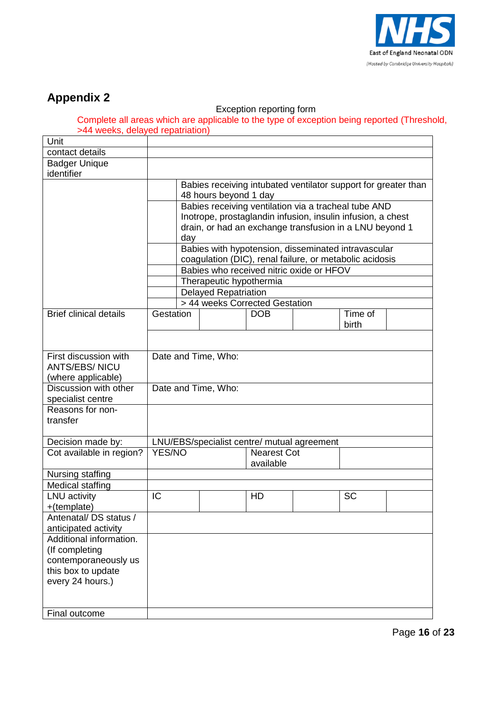

#### Exception reporting form

Complete all areas which are applicable to the type of exception being reported (Threshold, >44 weeks, delayed repatriation)

| Unit                                  |           |                                                                |                             |                                                             |  |           |  |  |  |  |
|---------------------------------------|-----------|----------------------------------------------------------------|-----------------------------|-------------------------------------------------------------|--|-----------|--|--|--|--|
| contact details                       |           |                                                                |                             |                                                             |  |           |  |  |  |  |
| <b>Badger Unique</b>                  |           |                                                                |                             |                                                             |  |           |  |  |  |  |
| identifier                            |           |                                                                |                             |                                                             |  |           |  |  |  |  |
|                                       |           | Babies receiving intubated ventilator support for greater than |                             |                                                             |  |           |  |  |  |  |
|                                       |           |                                                                | 48 hours beyond 1 day       |                                                             |  |           |  |  |  |  |
|                                       |           |                                                                |                             | Babies receiving ventilation via a tracheal tube AND        |  |           |  |  |  |  |
|                                       |           |                                                                |                             | Inotrope, prostaglandin infusion, insulin infusion, a chest |  |           |  |  |  |  |
|                                       |           |                                                                |                             | drain, or had an exchange transfusion in a LNU beyond 1     |  |           |  |  |  |  |
|                                       |           | day                                                            |                             |                                                             |  |           |  |  |  |  |
|                                       |           |                                                                |                             | Babies with hypotension, disseminated intravascular         |  |           |  |  |  |  |
|                                       |           |                                                                |                             | coagulation (DIC), renal failure, or metabolic acidosis     |  |           |  |  |  |  |
|                                       |           |                                                                |                             | Babies who received nitric oxide or HFOV                    |  |           |  |  |  |  |
|                                       |           |                                                                | Therapeutic hypothermia     |                                                             |  |           |  |  |  |  |
|                                       |           |                                                                | <b>Delayed Repatriation</b> |                                                             |  |           |  |  |  |  |
|                                       |           |                                                                |                             | > 44 weeks Corrected Gestation                              |  |           |  |  |  |  |
| <b>Brief clinical details</b>         | Gestation |                                                                |                             | <b>DOB</b>                                                  |  | Time of   |  |  |  |  |
|                                       |           |                                                                |                             |                                                             |  | birth     |  |  |  |  |
|                                       |           |                                                                |                             |                                                             |  |           |  |  |  |  |
|                                       |           |                                                                |                             |                                                             |  |           |  |  |  |  |
| First discussion with                 |           |                                                                | Date and Time, Who:         |                                                             |  |           |  |  |  |  |
| <b>ANTS/EBS/ NICU</b>                 |           |                                                                |                             |                                                             |  |           |  |  |  |  |
| (where applicable)                    |           |                                                                |                             |                                                             |  |           |  |  |  |  |
| Discussion with other                 |           |                                                                | Date and Time, Who:         |                                                             |  |           |  |  |  |  |
| specialist centre<br>Reasons for non- |           |                                                                |                             |                                                             |  |           |  |  |  |  |
| transfer                              |           |                                                                |                             |                                                             |  |           |  |  |  |  |
|                                       |           |                                                                |                             |                                                             |  |           |  |  |  |  |
| Decision made by:                     |           |                                                                |                             | LNU/EBS/specialist centre/ mutual agreement                 |  |           |  |  |  |  |
| Cot available in region?              | YES/NO    |                                                                |                             | <b>Nearest Cot</b>                                          |  |           |  |  |  |  |
|                                       |           |                                                                |                             | available                                                   |  |           |  |  |  |  |
| Nursing staffing                      |           |                                                                |                             |                                                             |  |           |  |  |  |  |
| <b>Medical staffing</b>               |           |                                                                |                             |                                                             |  |           |  |  |  |  |
| <b>LNU</b> activity                   | IC        |                                                                |                             | HD                                                          |  | <b>SC</b> |  |  |  |  |
| +(template)                           |           |                                                                |                             |                                                             |  |           |  |  |  |  |
| Antenatal/DS status /                 |           |                                                                |                             |                                                             |  |           |  |  |  |  |
| anticipated activity                  |           |                                                                |                             |                                                             |  |           |  |  |  |  |
| Additional information.               |           |                                                                |                             |                                                             |  |           |  |  |  |  |
| (If completing                        |           |                                                                |                             |                                                             |  |           |  |  |  |  |
| contemporaneously us                  |           |                                                                |                             |                                                             |  |           |  |  |  |  |
| this box to update                    |           |                                                                |                             |                                                             |  |           |  |  |  |  |
| every 24 hours.)                      |           |                                                                |                             |                                                             |  |           |  |  |  |  |
|                                       |           |                                                                |                             |                                                             |  |           |  |  |  |  |
|                                       |           |                                                                |                             |                                                             |  |           |  |  |  |  |
| Final outcome                         |           |                                                                |                             |                                                             |  |           |  |  |  |  |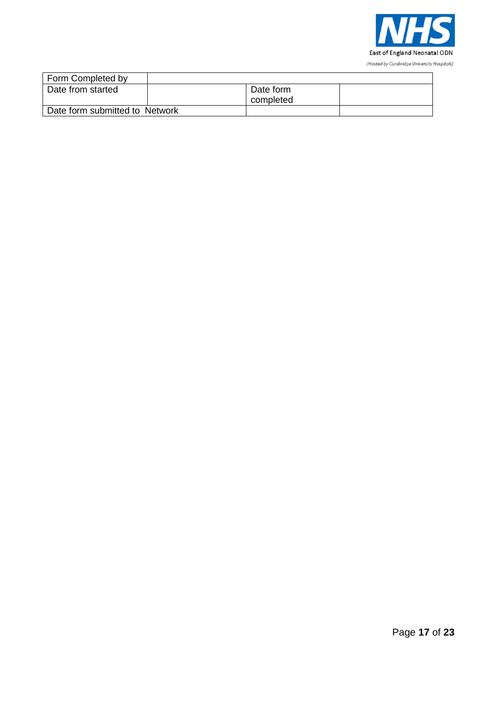

| Form Completed by              |           |  |
|--------------------------------|-----------|--|
| Date from started              | Date form |  |
|                                | completed |  |
| Date form submitted to Network |           |  |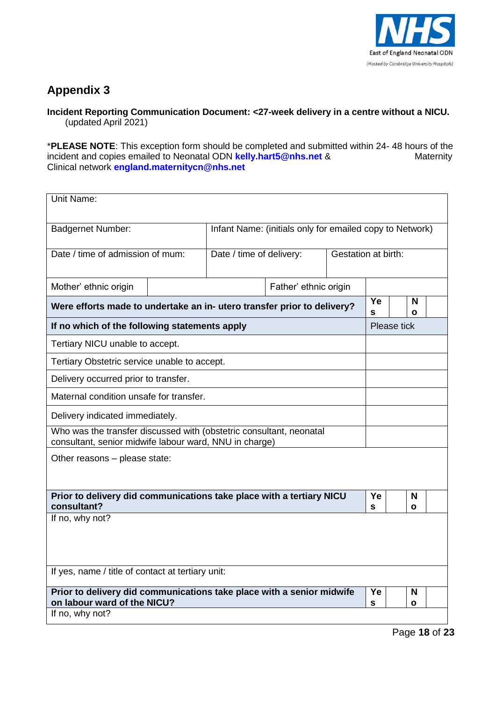

### **Incident Reporting Communication Document: <27-week delivery in a centre without a NICU.**  (updated April 2021)

\***PLEASE NOTE**: This exception form should be completed and submitted within 24- 48 hours of the incident and copies emailed to Neonatal ODN **[kelly.hart5@nhs.net](mailto:kelly.hart5@nhs.net)** & Maternity Clinical network **[england.maternitycn@nhs.net](mailto:england.maternitycn@nhs.net)**

| Unit Name:                                                                                                                    |  |                          |                       |                     |         |             |        |  |
|-------------------------------------------------------------------------------------------------------------------------------|--|--------------------------|-----------------------|---------------------|---------|-------------|--------|--|
| Infant Name: (initials only for emailed copy to Network)<br><b>Badgernet Number:</b>                                          |  |                          |                       |                     |         |             |        |  |
| Date / time of admission of mum:                                                                                              |  | Date / time of delivery: |                       | Gestation at birth: |         |             |        |  |
| Mother' ethnic origin                                                                                                         |  |                          | Father' ethnic origin |                     |         |             |        |  |
| Were efforts made to undertake an in- utero transfer prior to delivery?                                                       |  |                          |                       |                     | Ye<br>s |             | N<br>Ο |  |
| If no which of the following statements apply                                                                                 |  |                          |                       |                     |         | Please tick |        |  |
| Tertiary NICU unable to accept.                                                                                               |  |                          |                       |                     |         |             |        |  |
| Tertiary Obstetric service unable to accept.                                                                                  |  |                          |                       |                     |         |             |        |  |
| Delivery occurred prior to transfer.                                                                                          |  |                          |                       |                     |         |             |        |  |
| Maternal condition unsafe for transfer.                                                                                       |  |                          |                       |                     |         |             |        |  |
| Delivery indicated immediately.                                                                                               |  |                          |                       |                     |         |             |        |  |
| Who was the transfer discussed with (obstetric consultant, neonatal<br>consultant, senior midwife labour ward, NNU in charge) |  |                          |                       |                     |         |             |        |  |
| Other reasons - please state:                                                                                                 |  |                          |                       |                     |         |             |        |  |
|                                                                                                                               |  |                          |                       |                     |         |             |        |  |
| Prior to delivery did communications take place with a tertiary NICU                                                          |  |                          |                       |                     | Ye      |             | N      |  |
| consultant?<br>If no, why not?                                                                                                |  |                          |                       |                     | S       |             | O      |  |
|                                                                                                                               |  |                          |                       |                     |         |             |        |  |
|                                                                                                                               |  |                          |                       |                     |         |             |        |  |
| If yes, name / title of contact at tertiary unit:                                                                             |  |                          |                       |                     |         |             |        |  |
| Prior to delivery did communications take place with a senior midwife<br>on labour ward of the NICU?                          |  |                          |                       |                     | Ye<br>S |             | N<br>O |  |
| If no, why not?                                                                                                               |  |                          |                       |                     |         |             |        |  |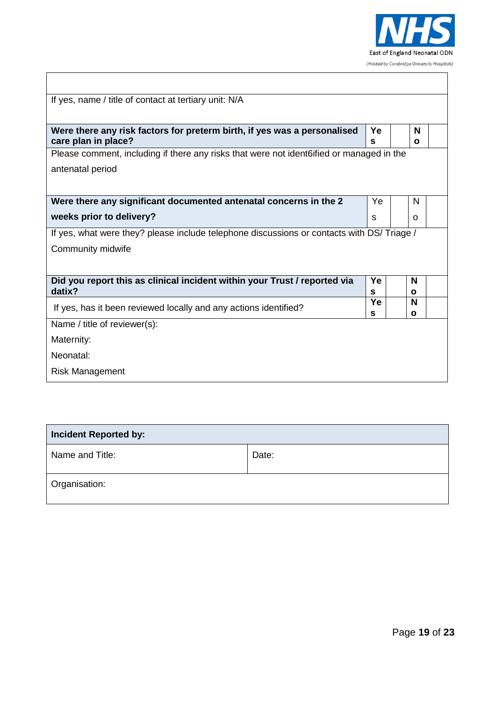

| If yes, name / title of contact at tertiary unit: N/A                                           |         |                   |  |  |  |
|-------------------------------------------------------------------------------------------------|---------|-------------------|--|--|--|
|                                                                                                 |         |                   |  |  |  |
| Were there any risk factors for preterm birth, if yes was a personalised<br>care plan in place? | Ye<br>S | N<br>O            |  |  |  |
| Please comment, including if there any risks that were not ident 6 if all or managed in the     |         |                   |  |  |  |
| antenatal period                                                                                |         |                   |  |  |  |
|                                                                                                 |         |                   |  |  |  |
| Were there any significant documented antenatal concerns in the 2                               | Ye      | N                 |  |  |  |
| weeks prior to delivery?                                                                        | S       | O                 |  |  |  |
| If yes, what were they? please include telephone discussions or contacts with DS/ Triage /      |         |                   |  |  |  |
| Community midwife                                                                               |         |                   |  |  |  |
|                                                                                                 |         |                   |  |  |  |
| Did you report this as clinical incident within your Trust / reported via                       | Ye      | N                 |  |  |  |
| datix?                                                                                          | s       | ٥                 |  |  |  |
| If yes, has it been reviewed locally and any actions identified?                                | Ye<br>S | N<br>$\mathbf{o}$ |  |  |  |
| Name / title of reviewer(s):                                                                    |         |                   |  |  |  |
| Maternity:                                                                                      |         |                   |  |  |  |
| Neonatal:                                                                                       |         |                   |  |  |  |
| <b>Risk Management</b>                                                                          |         |                   |  |  |  |

| <b>Incident Reported by:</b> |       |  |
|------------------------------|-------|--|
| Name and Title:              | Date: |  |
| Organisation:                |       |  |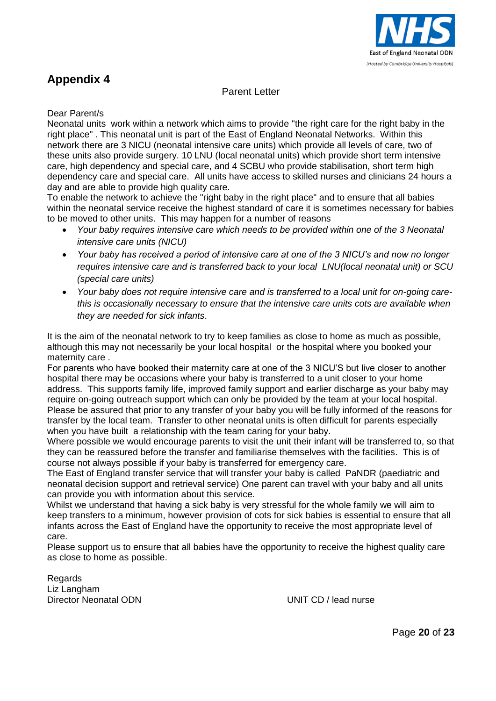

## Parent Letter

Dear Parent/s

Neonatal units work within a network which aims to provide "the right care for the right baby in the right place" . This neonatal unit is part of the East of England Neonatal Networks. Within this network there are 3 NICU (neonatal intensive care units) which provide all levels of care, two of these units also provide surgery. 10 LNU (local neonatal units) which provide short term intensive care, high dependency and special care, and 4 SCBU who provide stabilisation, short term high dependency care and special care. All units have access to skilled nurses and clinicians 24 hours a day and are able to provide high quality care.

To enable the network to achieve the "right baby in the right place" and to ensure that all babies within the neonatal service receive the highest standard of care it is sometimes necessary for babies to be moved to other units. This may happen for a number of reasons

- *Your baby requires intensive care which needs to be provided within one of the 3 Neonatal intensive care units (NICU)*
- *Your baby has received a period of intensive care at one of the 3 NICU's and now no longer requires intensive care and is transferred back to your local LNU(local neonatal unit) or SCU (special care units)*
- *Your baby does not require intensive care and is transferred to a local unit for on-going carethis is occasionally necessary to ensure that the intensive care units cots are available when they are needed for sick infants*.

It is the aim of the neonatal network to try to keep families as close to home as much as possible, although this may not necessarily be your local hospital or the hospital where you booked your maternity care .

For parents who have booked their maternity care at one of the 3 NICU'S but live closer to another hospital there may be occasions where your baby is transferred to a unit closer to your home address. This supports family life, improved family support and earlier discharge as your baby may require on-going outreach support which can only be provided by the team at your local hospital. Please be assured that prior to any transfer of your baby you will be fully informed of the reasons for transfer by the local team. Transfer to other neonatal units is often difficult for parents especially when you have built a relationship with the team caring for your baby.

Where possible we would encourage parents to visit the unit their infant will be transferred to, so that they can be reassured before the transfer and familiarise themselves with the facilities. This is of course not always possible if your baby is transferred for emergency care.

The East of England transfer service that will transfer your baby is called PaNDR (paediatric and neonatal decision support and retrieval service) One parent can travel with your baby and all units can provide you with information about this service.

Whilst we understand that having a sick baby is very stressful for the whole family we will aim to keep transfers to a minimum, however provision of cots for sick babies is essential to ensure that all infants across the East of England have the opportunity to receive the most appropriate level of care.

Please support us to ensure that all babies have the opportunity to receive the highest quality care as close to home as possible.

Regards Liz Langham Director Neonatal ODN UNIT CD / lead nurse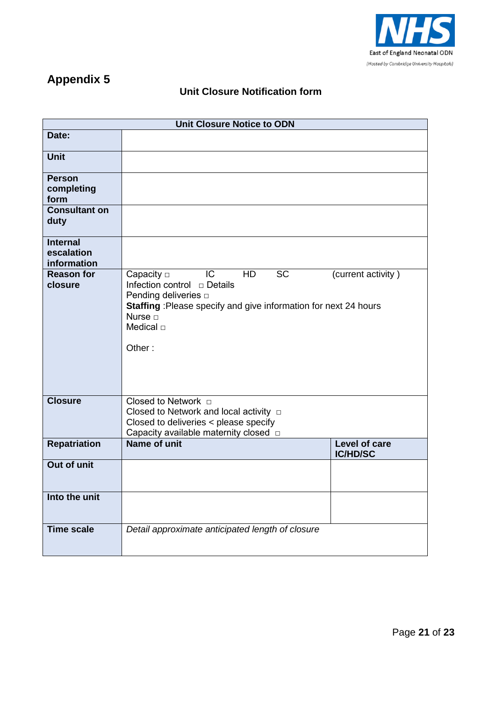

## **Unit Closure Notification form**

| <b>Unit Closure Notice to ODN</b>            |                                                                                                                                                                                    |                                  |  |  |
|----------------------------------------------|------------------------------------------------------------------------------------------------------------------------------------------------------------------------------------|----------------------------------|--|--|
| Date:                                        |                                                                                                                                                                                    |                                  |  |  |
| <b>Unit</b>                                  |                                                                                                                                                                                    |                                  |  |  |
| <b>Person</b><br>completing<br>form          |                                                                                                                                                                                    |                                  |  |  |
| <b>Consultant on</b><br>duty                 |                                                                                                                                                                                    |                                  |  |  |
| <b>Internal</b><br>escalation<br>information |                                                                                                                                                                                    |                                  |  |  |
| <b>Reason for</b><br>closure                 | <b>SC</b><br>IC<br>Capacity $\Box$<br>HD<br>Pending deliveries □<br>Staffing : Please specify and give information for next 24 hours<br>Nurse $\Box$<br>Medical $\sqcap$<br>Other: | (current activity)               |  |  |
| <b>Closure</b>                               | Closed to Network $\Box$<br>Closed to Network and local activity $\Box$<br>Closed to deliveries < please specify<br>Capacity available maternity closed $\Box$                     |                                  |  |  |
| <b>Repatriation</b>                          | <b>Name of unit</b>                                                                                                                                                                | Level of care<br><b>IC/HD/SC</b> |  |  |
| <b>Out of unit</b>                           |                                                                                                                                                                                    |                                  |  |  |
| Into the unit                                |                                                                                                                                                                                    |                                  |  |  |
| <b>Time scale</b>                            | Detail approximate anticipated length of closure                                                                                                                                   |                                  |  |  |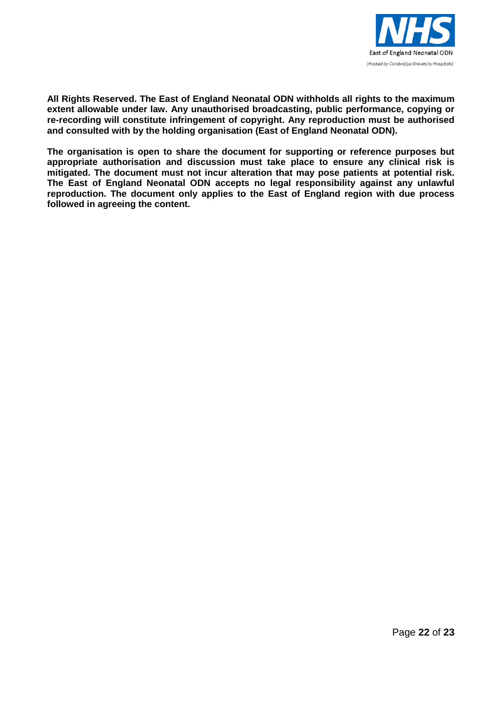

**All Rights Reserved. The East of England Neonatal ODN withholds all rights to the maximum extent allowable under law. Any unauthorised broadcasting, public performance, copying or re-recording will constitute infringement of copyright. Any reproduction must be authorised and consulted with by the holding organisation (East of England Neonatal ODN).**

**The organisation is open to share the document for supporting or reference purposes but appropriate authorisation and discussion must take place to ensure any clinical risk is mitigated. The document must not incur alteration that may pose patients at potential risk. The East of England Neonatal ODN accepts no legal responsibility against any unlawful reproduction. The document only applies to the East of England region with due process followed in agreeing the content.**